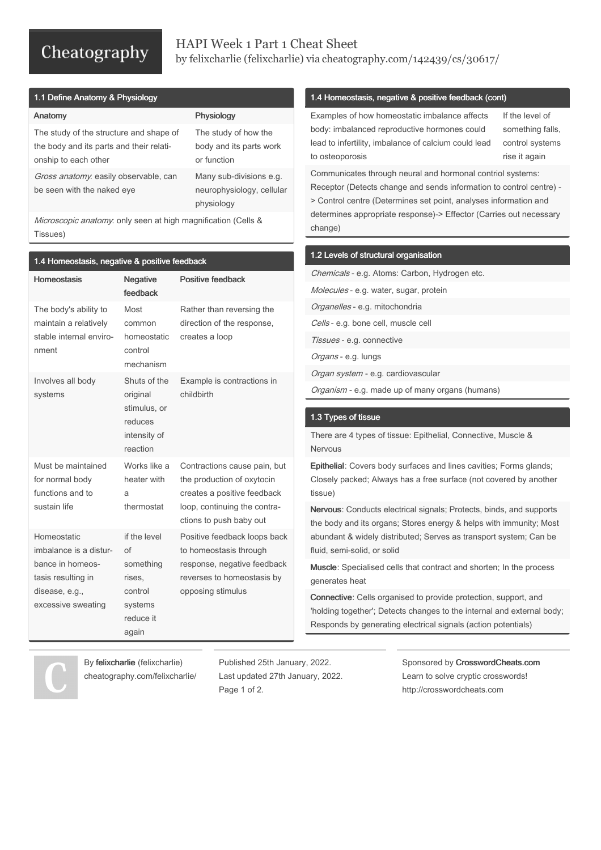# Cheatography

## HAPI Week 1 Part 1 Cheat Sheet by felixcharlie [\(felixcharlie\)](http://www.cheatography.com/felixcharlie/) via [cheatography.com/142439/cs/30617/](http://www.cheatography.com/felixcharlie/cheat-sheets/hapi-week-1-part-1)

| 1.1 Define Anatomy & Physiology |  |  |  |  |  |
|---------------------------------|--|--|--|--|--|
|---------------------------------|--|--|--|--|--|

| Anatomy                                                                                                     | Physiology                                                         |
|-------------------------------------------------------------------------------------------------------------|--------------------------------------------------------------------|
| The study of the structure and shape of<br>the body and its parts and their relati-<br>onship to each other | The study of how the<br>body and its parts work<br>or function     |
| Gross anatomy. easily observable, can<br>be seen with the naked eye                                         | Many sub-divisions e.g.<br>neurophysiology, cellular<br>physiology |

Microscopic anatomy. only seen at high magnification (Cells & Tissues)

| 1.4 Homeostasis, negative & positive feedback                                                                           |                                                                                       |                                                                                                                                                      |  |  |  |  |
|-------------------------------------------------------------------------------------------------------------------------|---------------------------------------------------------------------------------------|------------------------------------------------------------------------------------------------------------------------------------------------------|--|--|--|--|
| <b>Homeostasis</b>                                                                                                      | <b>Negative</b><br>feedback                                                           | <b>Positive feedback</b>                                                                                                                             |  |  |  |  |
| The body's ability to<br>maintain a relatively<br>stable internal enviro-<br>nment                                      | Most<br>common<br>homeostatic<br>control<br>mechanism                                 | Rather than reversing the<br>direction of the response,<br>creates a loop                                                                            |  |  |  |  |
| Involves all body<br>systems                                                                                            | Shuts of the<br>original<br>stimulus, or<br>reduces<br>intensity of<br>reaction       | Example is contractions in<br>childbirth                                                                                                             |  |  |  |  |
| Must be maintained<br>for normal body<br>functions and to<br>sustain life                                               | Works like a<br>heater with<br>a<br>thermostat                                        | Contractions cause pain, but<br>the production of oxytocin<br>creates a positive feedback<br>loop, continuing the contra-<br>ctions to push baby out |  |  |  |  |
| Homeostatic<br>imbalance is a distur-<br>bance in homeos-<br>tasis resulting in<br>disease, e.g.,<br>excessive sweating | if the level<br>of<br>something<br>rises,<br>control<br>systems<br>reduce it<br>again | Positive feedback loops back<br>to homeostasis through<br>response, negative feedback<br>reverses to homeostasis by<br>opposing stimulus             |  |  |  |  |

### 1.4 Homeostasis, negative & positive feedback (cont)

Examples of how homeostatic imbalance affects body: imbalanced reproductive hormones could lead to infertility, imbalance of calcium could lead to osteoporosis

If the level of something falls, control systems rise it again

Communicates through neural and hormonal contriol systems: Receptor (Detects change and sends information to control centre) - > Control centre (Determines set point, analyses information and determines appropriate response)-> Effector (Carries out necessary change)

#### 1.2 Levels of structural organisation

Chemicals - e.g. Atoms: Carbon, Hydrogen etc. Molecules - e.g. water, sugar, protein Organelles - e.g. mitochondria Cells - e.g. bone cell, muscle cell Tissues - e.g. connective Organs - e.g. lungs Organ system - e.g. cardiovascular Organism - e.g. made up of many organs (humans)

#### 1.3 Types of tissue

There are 4 types of tissue: Epithelial, Connective, Muscle & Nervous

Epithelial: Covers body surfaces and lines cavities; Forms glands; Closely packed; Always has a free surface (not covered by another tissue)

Nervous: Conducts electrical signals; Protects, binds, and supports the body and its organs; Stores energy & helps with immunity; Most abundant & widely distributed; Serves as transport system; Can be fluid, semi-solid, or solid

Muscle: Specialised cells that contract and shorten; In the process generates heat

Connective: Cells organised to provide protection, support, and 'holding together'; Detects changes to the internal and external body; Responds by generating electrical signals (action potentials)

By felixcharlie (felixcharlie) [cheatography.com/felixcharlie/](http://www.cheatography.com/felixcharlie/) Published 25th January, 2022. Last updated 27th January, 2022. Page 1 of 2.

Sponsored by CrosswordCheats.com Learn to solve cryptic crosswords! <http://crosswordcheats.com>